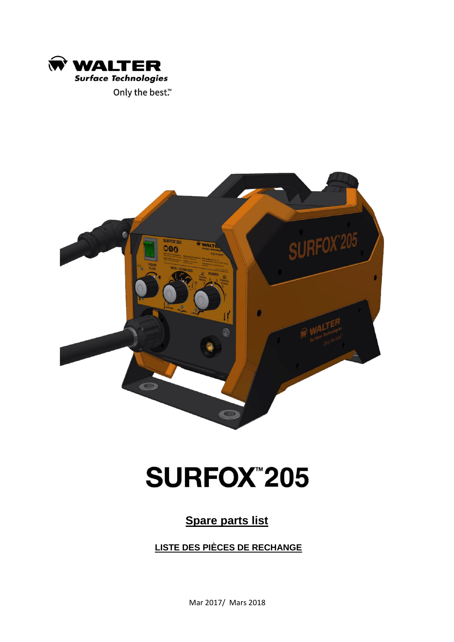



## **SURFOX"205**

## **Spare parts list**

**LISTE DES PIÈCES DE RECHANGE**

Mar 2017/ Mars 2018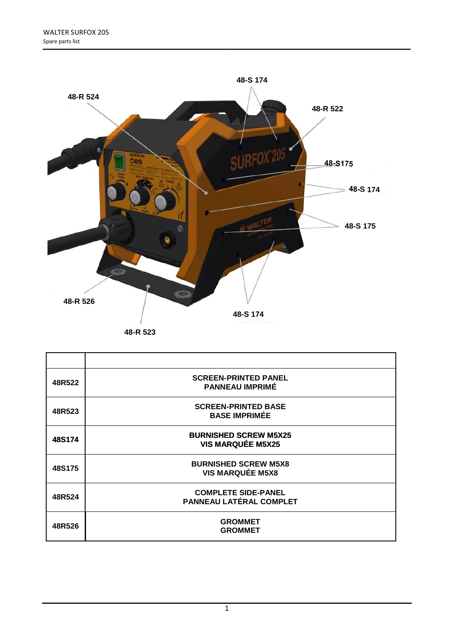

| 48R522 | <b>SCREEN-PRINTED PANEL</b><br><b>PANNEAU IMPRIME</b>        |
|--------|--------------------------------------------------------------|
| 48R523 | <b>SCREEN-PRINTED BASE</b><br><b>BASE IMPRIMÉE</b>           |
| 48S174 | <b>BURNISHED SCREW M5X25</b><br><b>VIS MARQUÉE M5X25</b>     |
| 48S175 | <b>BURNISHED SCREW M5X8</b><br><b>VIS MARQUÉE M5X8</b>       |
| 48R524 | <b>COMPLETE SIDE-PANEL</b><br><b>PANNEAU LATÉRAL COMPLET</b> |
| 48R526 | <b>GROMMET</b><br><b>GROMMET</b>                             |

1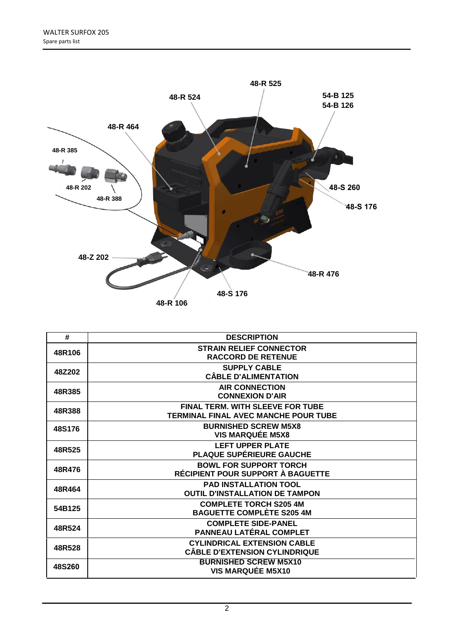

| #      | <b>DESCRIPTION</b>                                                              |
|--------|---------------------------------------------------------------------------------|
| 48R106 | <b>STRAIN RELIEF CONNECTOR</b><br><b>RACCORD DE RETENUE</b>                     |
| 48Z202 | <b>SUPPLY CABLE</b><br><b>CÂBLE D'ALIMENTATION</b>                              |
| 48R385 | <b>AIR CONNECTION</b><br><b>CONNEXION D'AIR</b>                                 |
| 48R388 | <b>FINAL TERM. WITH SLEEVE FOR TUBE</b><br>TERMINAL FINAL AVEC MANCHE POUR TUBE |
| 48S176 | <b>BURNISHED SCREW M5X8</b><br><b>VIS MARQUÉE M5X8</b>                          |
| 48R525 | <b>LEFT UPPER PLATE</b><br>PLAQUE SUPÉRIEURE GAUCHE                             |
| 48R476 | <b>BOWL FOR SUPPORT TORCH</b><br>RÉCIPIENT POUR SUPPORT À BAGUETTE              |
| 48R464 | <b>PAD INSTALLATION TOOL</b><br><b>OUTIL D'INSTALLATION DE TAMPON</b>           |
| 54B125 | <b>COMPLETE TORCH S205 4M</b><br><b>BAGUETTE COMPLÈTE S205 4M</b>               |
| 48R524 | <b>COMPLETE SIDE-PANEL</b><br>PANNEAU LATÉRAL COMPLET                           |
| 48R528 | <b>CYLINDRICAL EXTENSION CABLE</b><br><b>CÂBLE D'EXTENSION CYLINDRIQUE</b>      |
| 48S260 | <b>BURNISHED SCREW M5X10</b><br><b>VIS MARQUÉE M5X10</b>                        |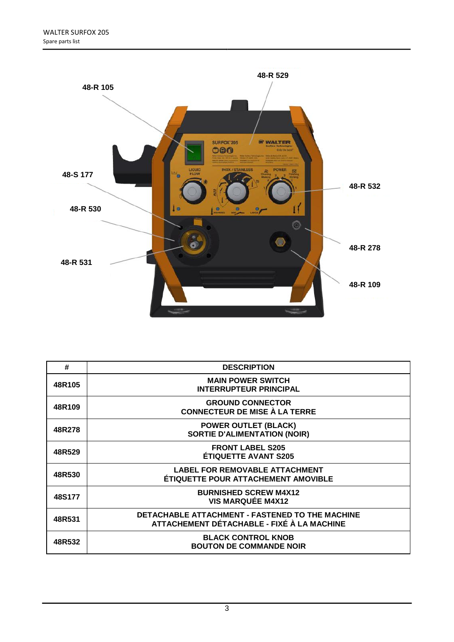

| #      | <b>DESCRIPTION</b>                                                                            |
|--------|-----------------------------------------------------------------------------------------------|
| 48R105 | <b>MAIN POWER SWITCH</b><br><b>INTERRUPTEUR PRINCIPAL</b>                                     |
| 48R109 | <b>GROUND CONNECTOR</b><br><b>CONNECTEUR DE MISE À LA TERRE</b>                               |
| 48R278 | <b>POWER OUTLET (BLACK)</b><br><b>SORTIE D'ALIMENTATION (NOIR)</b>                            |
| 48R529 | <b>FRONT LABEL S205</b><br><b>ÉTIQUETTE AVANT S205</b>                                        |
| 48R530 | <b>LABEL FOR REMOVABLE ATTACHMENT</b><br><b>ÉTIQUETTE POUR ATTACHEMENT AMOVIBLE</b>           |
| 48S177 | <b>BURNISHED SCREW M4X12</b><br><b>VIS MARQUÉE M4X12</b>                                      |
| 48R531 | DETACHABLE ATTACHMENT - FASTENED TO THE MACHINE<br>ATTACHEMENT DÉTACHABLE - FIXÉ À LA MACHINE |
| 48R532 | <b>BLACK CONTROL KNOB</b><br><b>BOUTON DE COMMANDE NOIR</b>                                   |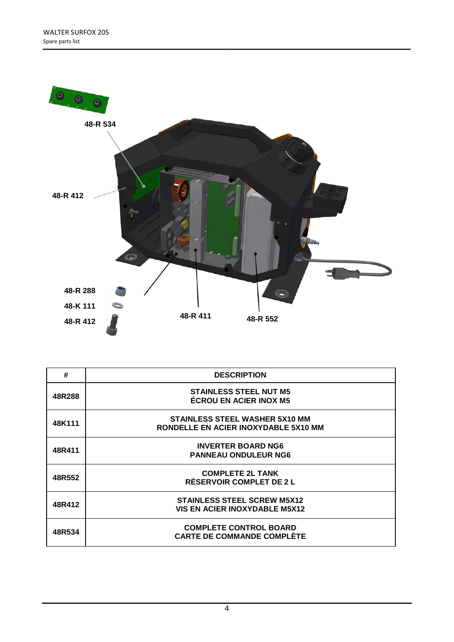

| #      | <b>DESCRIPTION</b>                                                            |
|--------|-------------------------------------------------------------------------------|
| 48R288 | <b>STAINLESS STEEL NUT M5</b><br><b>ÉCROU EN ACIER INOX M5</b>                |
| 48K111 | <b>STAINLESS STEEL WASHER 5X10 MM</b><br>RONDELLE EN ACIER INOXYDABLE 5X10 MM |
| 48R411 | <b>INVERTER BOARD NG6</b><br><b>PANNEAU ONDULEUR NG6</b>                      |
| 48R552 | <b>COMPLETE 2L TANK</b><br>RÉSERVOIR COMPLET DE 2 L                           |
| 48R412 | <b>STAINLESS STEEL SCREW M5X12</b><br><b>VIS EN ACIER INOXYDABLE M5X12</b>    |
| 48R534 | <b>COMPLETE CONTROL BOARD</b><br><b>CARTE DE COMMANDE COMPLÈTE</b>            |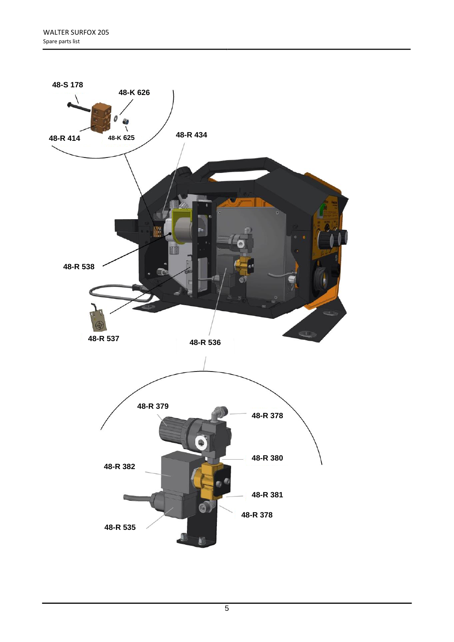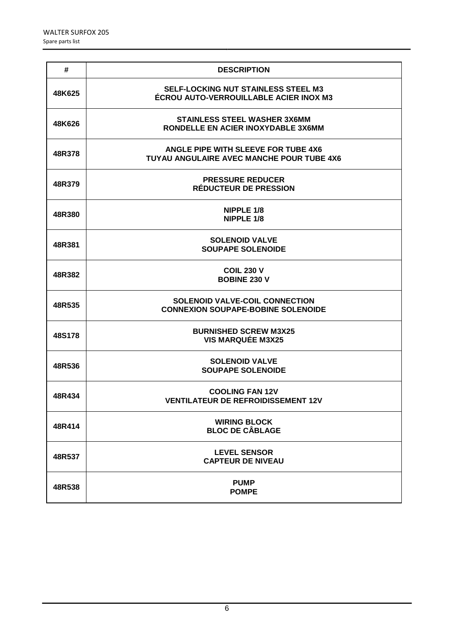| #      | <b>DESCRIPTION</b>                                                                   |
|--------|--------------------------------------------------------------------------------------|
| 48K625 | <b>SELF-LOCKING NUT STAINLESS STEEL M3</b><br>ÉCROU AUTO-VERROUILLABLE ACIER INOX M3 |
| 48K626 | <b>STAINLESS STEEL WASHER 3X6MM</b><br>RONDELLE EN ACIER INOXYDABLE 3X6MM            |
| 48R378 | ANGLE PIPE WITH SLEEVE FOR TUBE 4X6<br>TUYAU ANGULAIRE AVEC MANCHE POUR TUBE 4X6     |
| 48R379 | <b>PRESSURE REDUCER</b><br><b>RÉDUCTEUR DE PRESSION</b>                              |
| 48R380 | NIPPLE 1/8<br><b>NIPPLE 1/8</b>                                                      |
| 48R381 | <b>SOLENOID VALVE</b><br><b>SOUPAPE SOLENOIDE</b>                                    |
| 48R382 | <b>COIL 230 V</b><br><b>BOBINE 230 V</b>                                             |
| 48R535 | <b>SOLENOID VALVE-COIL CONNECTION</b><br><b>CONNEXION SOUPAPE-BOBINE SOLENOIDE</b>   |
| 48S178 | <b>BURNISHED SCREW M3X25</b><br><b>VIS MARQUÉE M3X25</b>                             |
| 48R536 | <b>SOLENOID VALVE</b><br><b>SOUPAPE SOLENOIDE</b>                                    |
| 48R434 | <b>COOLING FAN 12V</b><br><b>VENTILATEUR DE REFROIDISSEMENT 12V</b>                  |
| 48R414 | <b>WIRING BLOCK</b><br><b>BLOC DE CÂBLAGE</b>                                        |
| 48R537 | <b>LEVEL SENSOR</b><br><b>CAPTEUR DE NIVEAU</b>                                      |
| 48R538 | <b>PUMP</b><br><b>POMPE</b>                                                          |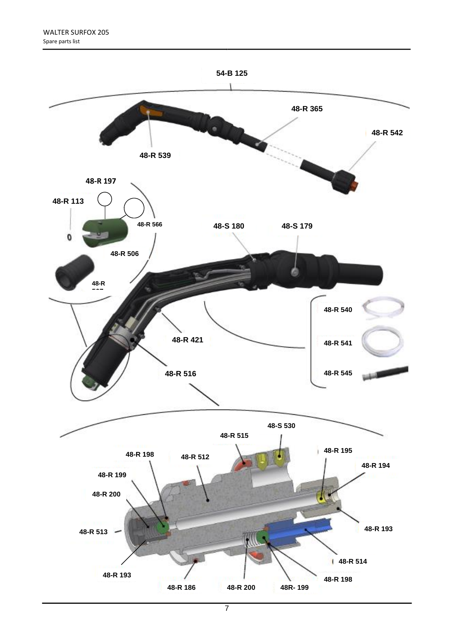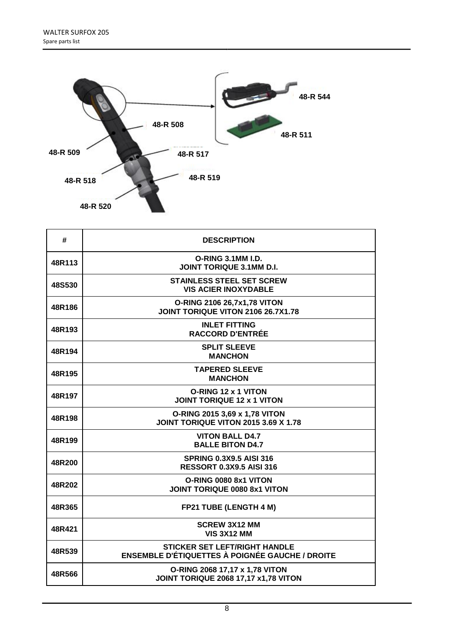

| #      | <b>DESCRIPTION</b>                                                                             |
|--------|------------------------------------------------------------------------------------------------|
| 48R113 | O-RING 3.1MM I.D.<br><b>JOINT TORIQUE 3.1MM D.I.</b>                                           |
| 48S530 | <b>STAINLESS STEEL SET SCREW</b><br><b>VIS ACIER INOXYDABLE</b>                                |
| 48R186 | O-RING 2106 26,7x1,78 VITON<br>JOINT TORIQUE VITON 2106 26.7X1.78                              |
| 48R193 | <b>INLET FITTING</b><br><b>RACCORD D'ENTRÉE</b>                                                |
| 48R194 | <b>SPLIT SLEEVE</b><br><b>MANCHON</b>                                                          |
| 48R195 | <b>TAPERED SLEEVE</b><br><b>MANCHON</b>                                                        |
| 48R197 | O-RING 12 x 1 VITON<br><b>JOINT TORIQUE 12 x 1 VITON</b>                                       |
| 48R198 | O-RING 2015 3,69 x 1,78 VITON<br>JOINT TORIQUE VITON 2015 3.69 X 1.78                          |
| 48R199 | <b>VITON BALL D4.7</b><br><b>BALLE BITON D4.7</b>                                              |
| 48R200 | <b>SPRING 0.3X9.5 AISI 316</b><br><b>RESSORT 0.3X9.5 AISI 316</b>                              |
| 48R202 | O-RING 0080 8x1 VITON<br>JOINT TORIQUE 0080 8x1 VITON                                          |
| 48R365 | FP21 TUBE (LENGTH 4 M)                                                                         |
| 48R421 | <b>SCREW 3X12 MM</b><br><b>VIS 3X12 MM</b>                                                     |
| 48R539 | <b>STICKER SET LEFT/RIGHT HANDLE</b><br><b>ENSEMBLE D'ÉTIQUETTES À POIGNÉE GAUCHE / DROITE</b> |
| 48R566 | O-RING 2068 17,17 x 1,78 VITON<br><b>JOINT TORIQUE 2068 17,17 x1,78 VITON</b>                  |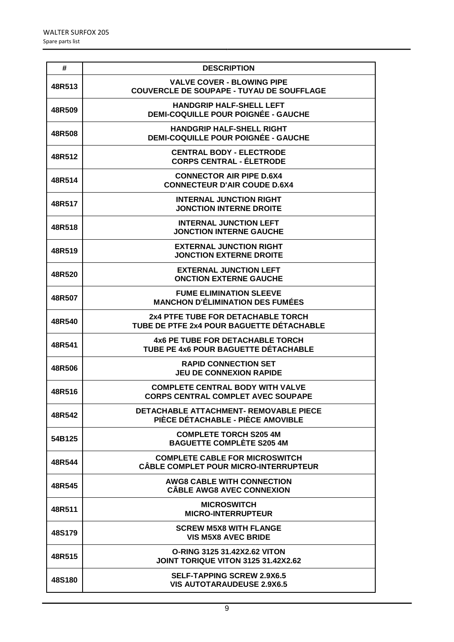| #      | <b>DESCRIPTION</b>                                                                    |
|--------|---------------------------------------------------------------------------------------|
| 48R513 | <b>VALVE COVER - BLOWING PIPE</b><br><b>COUVERCLE DE SOUPAPE - TUYAU DE SOUFFLAGE</b> |
| 48R509 | <b>HANDGRIP HALF-SHELL LEFT</b><br><b>DEMI-COQUILLE POUR POIGNÉE - GAUCHE</b>         |
| 48R508 | <b>HANDGRIP HALF-SHELL RIGHT</b><br><b>DEMI-COQUILLE POUR POIGNÉE - GAUCHE</b>        |
| 48R512 | <b>CENTRAL BODY - ELECTRODE</b><br><b>CORPS CENTRAL - ÉLETRODE</b>                    |
| 48R514 | <b>CONNECTOR AIR PIPE D.6X4</b><br><b>CONNECTEUR D'AIR COUDE D.6X4</b>                |
| 48R517 | <b>INTERNAL JUNCTION RIGHT</b><br><b>JONCTION INTERNE DROITE</b>                      |
| 48R518 | <b>INTERNAL JUNCTION LEFT</b><br><b>JONCTION INTERNE GAUCHE</b>                       |
| 48R519 | <b>EXTERNAL JUNCTION RIGHT</b><br><b>JONCTION EXTERNE DROITE</b>                      |
| 48R520 | <b>EXTERNAL JUNCTION LEFT</b><br><b>ONCTION EXTERNE GAUCHE</b>                        |
| 48R507 | <b>FUME ELIMINATION SLEEVE</b><br><b>MANCHON D'ÉLIMINATION DES FUMÉES</b>             |
| 48R540 | 2x4 PTFE TUBE FOR DETACHABLE TORCH<br>TUBE DE PTFE 2x4 POUR BAGUETTE DÉTACHABLE       |
| 48R541 | 4x6 PE TUBE FOR DETACHABLE TORCH<br>TUBE PE 4x6 POUR BAGUETTE DÉTACHABLE              |
| 48R506 | <b>RAPID CONNECTION SET</b><br><b>JEU DE CONNEXION RAPIDE</b>                         |
| 48R516 | <b>COMPLETE CENTRAL BODY WITH VALVE</b><br><b>CORPS CENTRAL COMPLET AVEC SOUPAPE</b>  |
| 48R542 | DETACHABLE ATTACHMENT- REMOVABLE PIECE<br>PIÈCE DÉTACHABLE - PIÈCE AMOVIBLE           |
| 54B125 | <b>COMPLETE TORCH S205 4M</b><br><b>BAGUETTE COMPLÈTE S205 4M</b>                     |
| 48R544 | <b>COMPLETE CABLE FOR MICROSWITCH</b><br><b>CÂBLE COMPLET POUR MICRO-INTERRUPTEUR</b> |
| 48R545 | <b>AWG8 CABLE WITH CONNECTION</b><br><b>CÂBLE AWG8 AVEC CONNEXION</b>                 |
| 48R511 | <b>MICROSWITCH</b><br><b>MICRO-INTERRUPTEUR</b>                                       |
| 48S179 | <b>SCREW M5X8 WITH FLANGE</b><br><b>VIS M5X8 AVEC BRIDE</b>                           |
| 48R515 | <b>O-RING 3125 31.42X2.62 VITON</b><br><b>JOINT TORIQUE VITON 3125 31.42X2.62</b>     |
| 48S180 | <b>SELF-TAPPING SCREW 2.9X6.5</b><br><b>VIS AUTOTARAUDEUSE 2.9X6.5</b>                |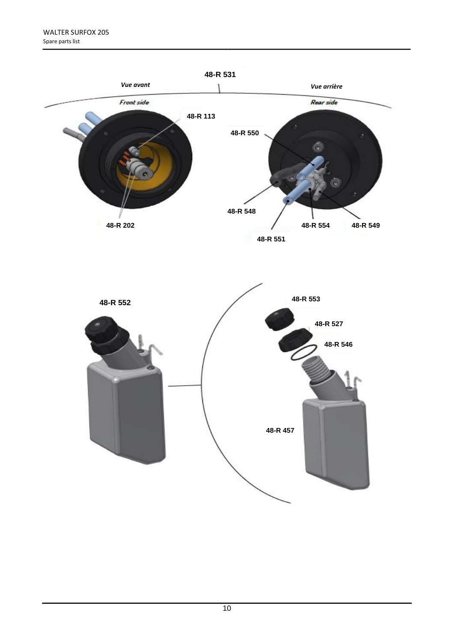